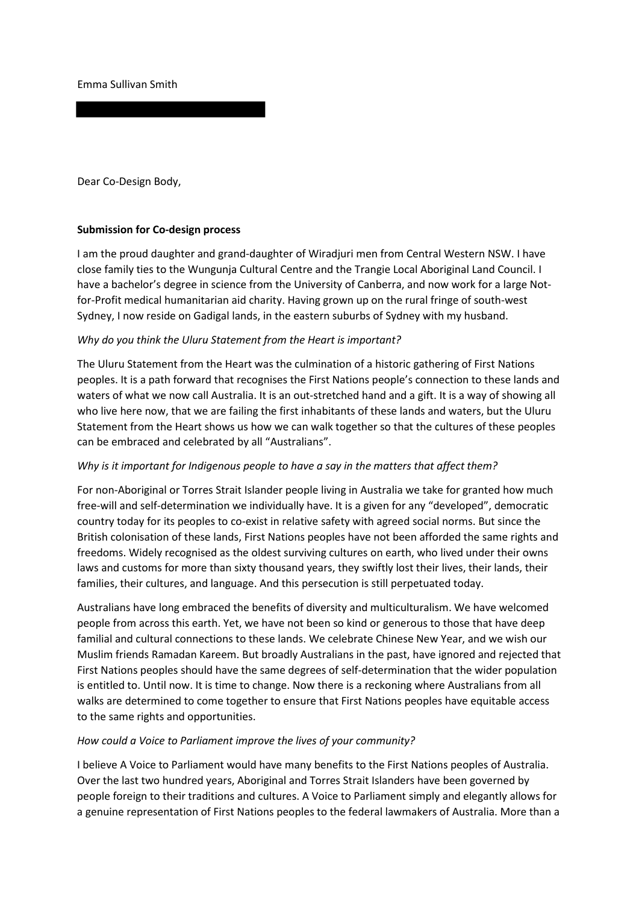Emma Sullivan Smith

Dear Co-Design Body,

### **Submission for Co-design process**

I am the proud daughter and grand-daughter of Wiradjuri men from Central Western NSW. I have close family ties to the Wungunja Cultural Centre and the Trangie Local Aboriginal Land Council. I have a bachelor's degree in science from the University of Canberra, and now work for a large Notfor-Profit medical humanitarian aid charity. Having grown up on the rural fringe of south-west Sydney, I now reside on Gadigal lands, in the eastern suburbs of Sydney with my husband.

#### *Why do you think the Uluru Statement from the Heart is important?*

The Uluru Statement from the Heart was the culmination of a historic gathering of First Nations peoples. It is a path forward that recognises the First Nations people's connection to these lands and waters of what we now call Australia. It is an out-stretched hand and a gift. It is a way of showing all who live here now, that we are failing the first inhabitants of these lands and waters, but the Uluru Statement from the Heart shows us how we can walk together so that the cultures of these peoples can be embraced and celebrated by all "Australians".

### *Why is it important for Indigenous people to have a say in the matters that affect them?*

For non-Aboriginal or Torres Strait Islander people living in Australia we take for granted how much free-will and self-determination we individually have. It is a given for any "developed", democratic country today for its peoples to co-exist in relative safety with agreed social norms. But since the British colonisation of these lands, First Nations peoples have not been afforded the same rights and freedoms. Widely recognised as the oldest surviving cultures on earth, who lived under their owns laws and customs for more than sixty thousand years, they swiftly lost their lives, their lands, their families, their cultures, and language. And this persecution is still perpetuated today.

Australians have long embraced the benefits of diversity and multiculturalism. We have welcomed people from across this earth. Yet, we have not been so kind or generous to those that have deep familial and cultural connections to these lands. We celebrate Chinese New Year, and we wish our Muslim friends Ramadan Kareem. But broadly Australians in the past, have ignored and rejected that First Nations peoples should have the same degrees of self-determination that the wider population is entitled to. Until now. It is time to change. Now there is a reckoning where Australians from all walks are determined to come together to ensure that First Nations peoples have equitable access to the same rights and opportunities.

### *How could a Voice to Parliament improve the lives of your community?*

I believe A Voice to Parliament would have many benefits to the First Nations peoples of Australia. Over the last two hundred years, Aboriginal and Torres Strait Islanders have been governed by people foreign to their traditions and cultures. A Voice to Parliament simply and elegantly allows for a genuine representation of First Nations peoples to the federal lawmakers of Australia. More than a